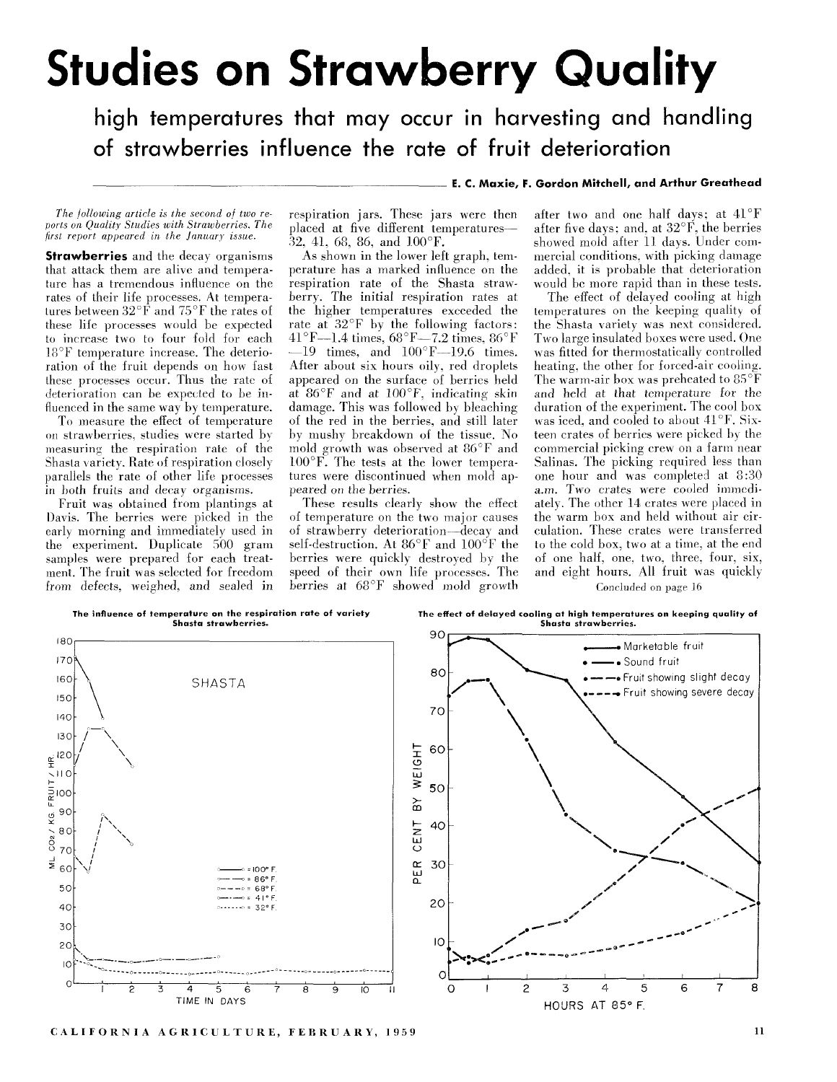## **Studies on Strawberry Quality**

high temperatures that may occur in harvesting and handling of strawberries influence the rate of fruit deterioration

## E. C. Maxie, F. Gordon Mitchell, and Arthur Greathead

The following article is the second of two reports on Quality Studies with Strawberries. The first report appeared in the January issue.

**Strawberries** and the decay organisms that attack them are alive and temperature has a tremendous influence on the rates of their life processes. At temperatures between  $32^{\circ}$  F and  $75^{\circ}$ F the rates of these life processes would be expected to increase two to four fold for each 18°F temperature increase. The deterioration of the fruit depends on how fast these processes occur. Thus the rate of deterioration can be expected to be influenced in the same way by temperature.

To measure the effect of temperature on strawberries, studies were started by measuring the respiration rate of the Shasta variety. Rate of respiration closely parallels the rate of other life processes in both fruits and decay organisms.

Fruit was obtained from plantings at Davis. The berries were picked in the early morning and immediately used in the experiment. Duplicate 500 gram samples were prepared for each treatment. The fruit was selected for freedom from defects, weighed, and sealed in respiration jars. These jars were then placed at five different temperatures  $32, 41, 68, 86,$  and  $100^{\circ}$ F.

As shown in the lower left graph, temperature has a marked influence on the respiration rate of the Shasta strawberry. The initial respiration rates at the higher temperatures exceeded the rate at  $32^{\circ}$ F by the following factors: 41°F-1.4 times, 68°F-7.2 times, 86°F  $-19$  times, and  $100^{\circ}$ F $-19.6$  times. After about six hours oily, red droplets appeared on the surface of berries held at  $86^{\circ}$ F and at  $100^{\circ}$ F, indicating skin damage. This was followed by bleaching of the red in the berries, and still later by mushy breakdown of the tissue. No mold growth was observed at 86°F and  $100^{\circ}$ F. The tests at the lower temperatures were discontinued when mold appeared on the berries.

These results clearly show the effect of temperature on the two major causes of strawberry deterioration-decay and self-destruction. At  $86^{\circ}$ F and  $100^{\circ}$ F the berries were quickly destroyed by the speed of their own life processes. The berries at 68°F showed mold growth

after two and one half days; at 41°F after five days: and, at  $32^{\circ}$ F, the berries showed mold after 11 days. Under commercial conditions, with picking damage added, it is probable that deterioration would be more rapid than in these tests.

The effect of delayed cooling at high temperatures on the keeping quality of the Shasta variety was next considered. Two large insulated boxes were used. One was fitted for thermostatically controlled heating, the other for forced-air cooling. The warm-air box was preheated to  $85^{\circ}$ F and held at that temperature for the duration of the experiment. The cool box was iced, and cooled to about 41°F. Sixteen crates of berries were picked by the commercial picking crew on a farm near Salinas. The picking required less than one hour and was completed at 8:30 a.m. Two crates were cooled immediately. The other 14 crates were placed in the warm box and held without air circulation. These crates were transferred to the cold box, two at a time, at the end of one half, one, two, three, four, six, and eight hours. All fruit was quickly Concluded on page 16



CALIFORNIA AGRICULTURE, FEBRUARY, 1959